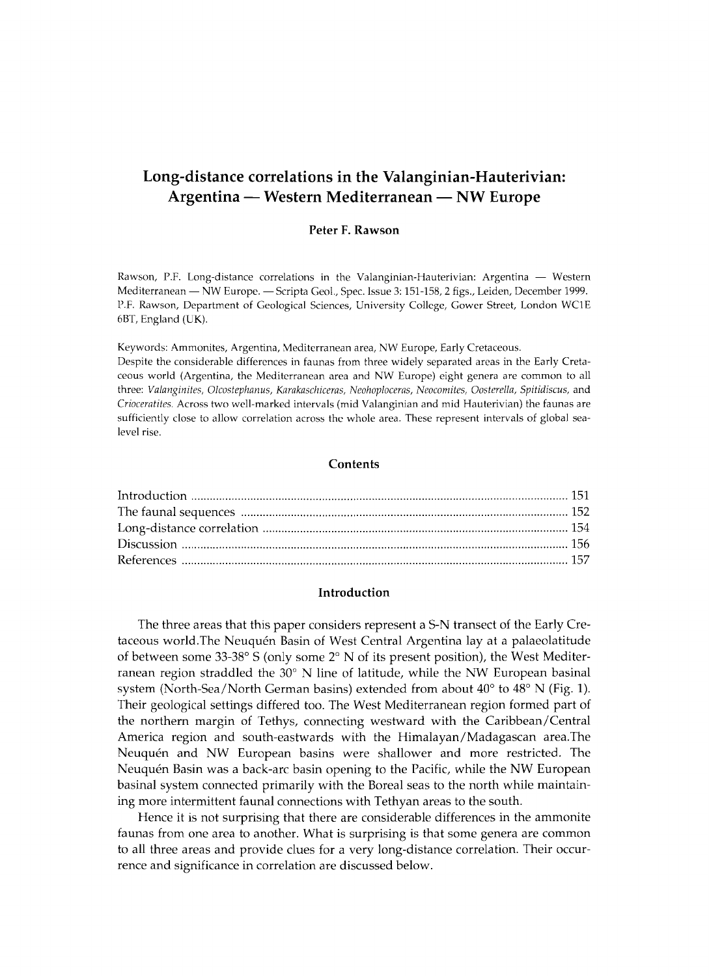# **Long-distance correlations in the Valanginian-Hauterivian: Argentina — Western Mediterranean — NW Europe**

## Peter F. Rawson

Rawson, P.F. Long-distance correlations in the Valanginian-Hauterivian: Argentina — Western Mediterranean — NW Europe. — Scripta Geol., Spec. Issue 3: 151-158, 2 figs., Leiden, December 1999. P.F. Rawson, Department of Geological Sciences, University College, Gower Street, London WC1E 6BT, England (UK).

Keywords: Ammonites, Argentina, Mediterranean area, NW Europe, Early Cretaceous. Despite the considerable differences in faunas from three widely separated areas in the Early Cretaceous world (Argentina, the Mediterranean area and NW Europe) eight genera are common to all three: *Valanginites, Olcostephanus, Karakaschiceras, Neohoploceras, Neocomites, Oosterella, Spitidiscus,* and *Crioceratites.* Across two well-marked intervals (mid Valanginian and mid Hauterivian) the faunas are sufficiently close to allow correlation across the whole area. These represent intervals of global sealevel rise.

#### **Contents**

## Introduction

The three areas that this paper considers represent a S-N transect of the Early Cretaceous world.The Neuquén Basin of West Central Argentina lay at a palaeolatitude of between some 33-38° S (only some 2° Ν of its present position), the West Mediterranean region straddled the  $30^{\circ}$  N line of latitude, while the NW European basinal system (North-Sea/North German basins) extended from about 40° to 48° Ν (Fig. 1). Their geological settings differed too. The West Mediterranean region formed part of the northern margin of Tethys, connecting westward with the Caribbean/Central America region and south-eastwards with the Himalayan/Madagascan area.The Neuquén and NW European basins were shallower and more restricted. The Neuquén Basin was a back-arc basin opening to the Pacific, while the NW European basinal system connected primarily with the Boreal seas to the north while maintaining more intermittent faunal connections with Tethyan areas to the south.

Hence it is not surprising that there are considerable differences in the ammonite faunas from one area to another. What is surprising is that some genera are common to all three areas and provide clues for a very long-distance correlation. Their occurrence and significance in correlation are discussed below.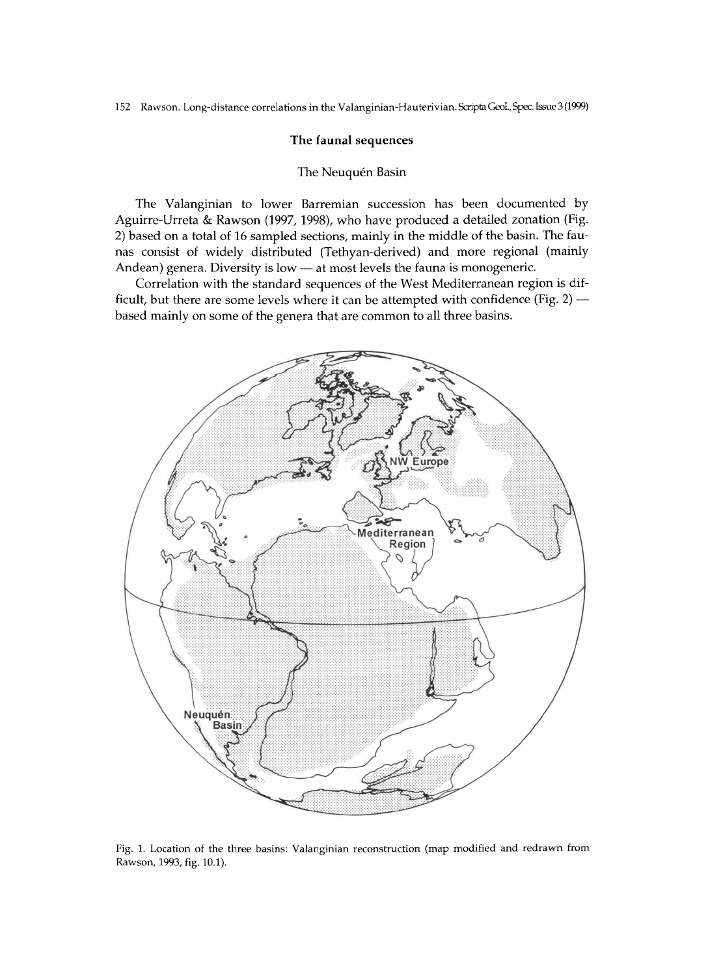## The faunal sequences

## The Neuquén Basin

The Valanginian to lower Barremian succession has been documented by Aguirre-Urreta & Rawson (1997, 1998), who have produced a detailed zonation (Fig. 2) based on a total of 16 sampled sections, mainly in the middle of the basin. The faunas consist of widely distributed (Tethyan-derived) and more regional (mainly Andean) genera. Diversity is low — at most levels the fauna is monogeneric.

Correlation with the standard sequences of the West Mediterranean region is difficult, but there are some levels where it can be attempted with confidence (Fig. 2) based mainly on some of the genera that are common to all three basins.



Fig. 1. Location of the three basins: Valanginian reconstruction (map modified and redrawn from Rawson, 1993, fig. 10.1).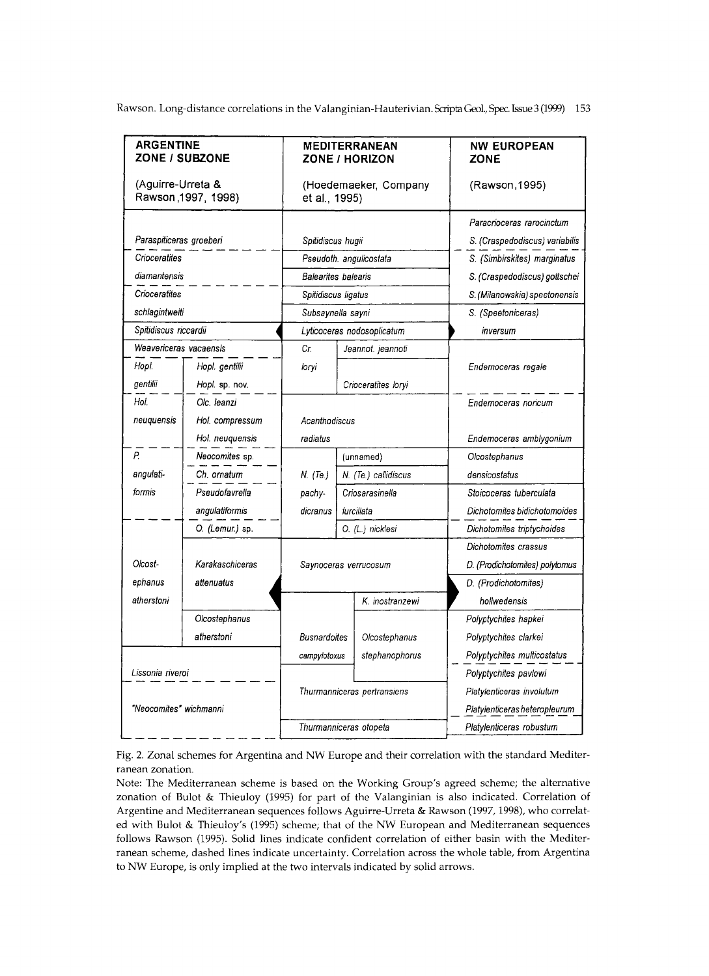| <b>ARGENTINE</b><br>ZONE / SUBZONE       |                        | <b>MEDITERRANEAN</b><br>ZONE / HORIZON |                            |                      | <b>NW EUROPEAN</b><br>ZONE     |
|------------------------------------------|------------------------|----------------------------------------|----------------------------|----------------------|--------------------------------|
| (Aguirre-Urreta &<br>Rawson, 1997, 1998) |                        | (Hoedemaeker, Company<br>et al., 1995) |                            |                      | (Rawson, 1995)                 |
|                                          |                        |                                        |                            |                      | Paracrioceras rarocinctum      |
| Paraspiticeras groeberi                  |                        | Spitidiscus hugii                      |                            |                      | S. (Craspedodiscus) variabilis |
| Crioceratites                            |                        | Pseudoth. angulicostata                |                            |                      | S. (Simbirskites) marginatus   |
| diamantensis                             |                        | Balearites balearis                    |                            |                      | S. (Craspedodiscus) gottschei  |
| Crioceratites                            |                        | Spitidiscus ligatus                    |                            |                      | S. (Milanowskia) speetonensis  |
|                                          | schlagintweiti         |                                        | Subsaynella sayni          |                      | S. (Speetoniceras)             |
| Spitidiscus riccardii                    |                        |                                        | Lyticoceras nodosoplicatum |                      | inversum                       |
|                                          | Weavericeras vacaensis |                                        |                            | Jeannot. jeannoti    |                                |
| Hopi.                                    | Hopl. gentilii         | loryi                                  |                            |                      | Endemoceras regale             |
| gentilii                                 | Hopl. sp. nov.         |                                        |                            | Crioceratites loryi  |                                |
| Hol.                                     | Olc. leanzi            |                                        |                            |                      | Endemoceras noricum            |
| neuguensis                               | Hol. compressum        | Acanthodiscus                          |                            |                      |                                |
|                                          | Hol. neuguensis        | radiatus                               |                            |                      | Endemoceras amblygonium        |
| Ρ.                                       | Neocomites sp.         |                                        | (unnamed)                  |                      | Olcostephanus                  |
| angulati-                                | Ch. ornatum            | N. (Te.)                               |                            | N. (Te.) callidiscus | densicostatus                  |
| formis                                   | Pseudofavrella         | pachy-                                 | Criosarasinella            |                      | Stoicoceras tuberculata        |
|                                          | angulatiformis         | dicranus                               | furcillata                 |                      | Dichotomites bidichotomoides   |
|                                          | O. (Lemur.) sp.        |                                        | O. (L.) nicklesi           |                      | Dichotomites triptychoides     |
|                                          |                        |                                        |                            |                      | Dichotomites crassus           |
| Olcost-                                  | Karakaschiceras        | Saynoceras verrucosum                  |                            |                      | D. (Prodichotomites) polytomus |
| ephanus                                  | attenuatus             |                                        |                            |                      | D. (Prodichotomites)           |
| atherstoni                               |                        |                                        |                            | K. inostranzewi      | hollwedensis                   |
|                                          | Olcostephanus          |                                        |                            |                      | Polyptychites hapkei           |
|                                          | atherstoni             | <b>Busnardoites</b>                    |                            | Olcostephanus        | Polyptychites clarkei          |
|                                          |                        | campylotoxus                           |                            | stephanophorus       | Polyptychites multicostatus    |
| Lissonia riveroi                         |                        |                                        |                            |                      | Polyptychites pavlowi          |
|                                          |                        | Thurmanniceras pertransiens            |                            |                      | Platylenticeras involutum      |
| "Neocomites" wichmanni                   |                        |                                        |                            |                      | Platylenticeras heteropleurum  |
|                                          |                        | Thurmanniceras otopeta                 |                            |                      | Platylenticeras robustum       |

Fig. 2. Zonal schemes for Argentina and NW Europe and their correlation with the standard Mediterranean zonation.

Note: The Mediterranean scheme is based on the Working Group's agreed scheme; the alternative zonation of Bulot & Thieuloy (1995) for part of the Valanginian is also indicated. Correlation of Argentine and Mediterranean sequences follows Aguirre-Urreta & Rawson (1997,1998), who correlated with Bulot & Thieuloy's (1995) scheme; that of the NW European and Mediterranean sequences follows Rawson (1995). Solid lines indicate confident correlation of either basin with the Mediterranean scheme, dashed lines indicate uncertainty. Correlation across the whole table, from Argentina to NW Europe, is only implied at the two intervals indicated by solid arrows.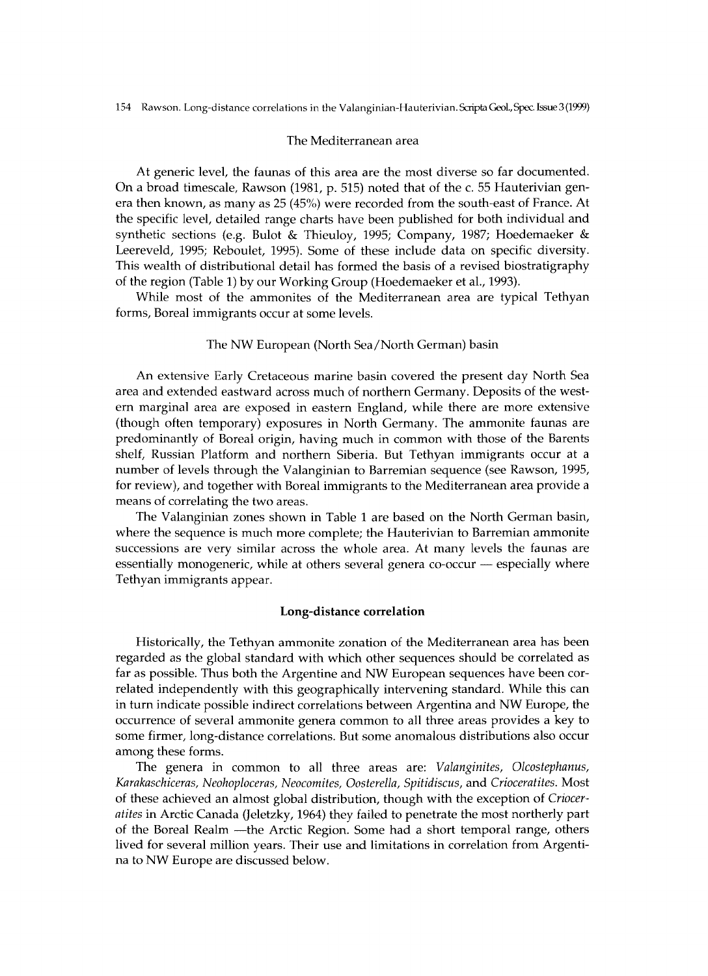## The Mediterranean area

At generic level, the faunas of this area are the most diverse so far documented. On a broad timescale, Rawson (1981, p. 515) noted that of the c. 55 Hauterivian genera then known, as many as 25 (45%) were recorded from the south-east of France. At the specific level, detailed range charts have been published for both individual and synthetic sections (e.g. Bulot & Thieuloy, 1995; Company, 1987; Hoedemaeker & Leereveld, 1995; Reboulet, 1995). Some of these include data on specific diversity. This wealth of distributional detail has formed the basis of a revised biostratigraphy of the region (Table 1) by our Working Group (Hoedemaeker et al., 1993).

While most of the ammonites of the Mediterranean area are typical Tethyan forms, Boreal immigrants occur at some levels.

#### The NW European (North Sea/North German) basin

A n extensive Early Cretaceous marine basin covered the present day North Sea area and extended eastward across much of northern Germany. Deposits of the western marginal area are exposed in eastern England, while there are more extensive (though often temporary) exposures in North Germany. The ammonite faunas are predominantly of Boreal origin, having much in common with those of the Barents shelf, Russian Platform and northern Siberia. But Tethyan immigrants occur at a number of levels through the Valanginian to Barremian sequence (see Rawson, 1995, for review), and together with Boreal immigrants to the Mediterranean area provide a means of correlating the two areas.

The Valanginian zones shown in Table 1 are based on the North German basin, where the sequence is much more complete; the Hauterivian to Barremian ammonite successions are very similar across the whole area. At many levels the faunas are essentially monogeneric, while at others several genera co-occur — especially where Tethyan immigrants appear.

#### Long-distance correlation

Historically, the Tethyan ammonite zonation of the Mediterranean area has been regarded as the global standard with which other sequences should be correlated as far as possible. Thus both the Argentine and NW European sequences have been correlated independently with this geographically intervening standard. While this can in turn indicate possible indirect correlations between Argentina and NW Europe, the occurrence of several ammonite genera common to all three areas provides a key to some firmer, long-distance correlations. But some anomalous distributions also occur among these forms.

The genera in common to all three areas are: *Valanginites, Olcostephanus, Karakaschiceras, Neohoploceras, Neocomites, Oosterella, Spitidiscus,* and *Crioceratites.* Most of these achieved an almost global distribution, though with the exception of *Crioceratites* in Arctic Canada (Jeletzky, 1964) they failed to penetrate the most northerly part of the Boreal Realm —the Arctic Region. Some had a short temporal range, others lived for several million years. Their use and limitations in correlation from Argentina to NW Europe are discussed below.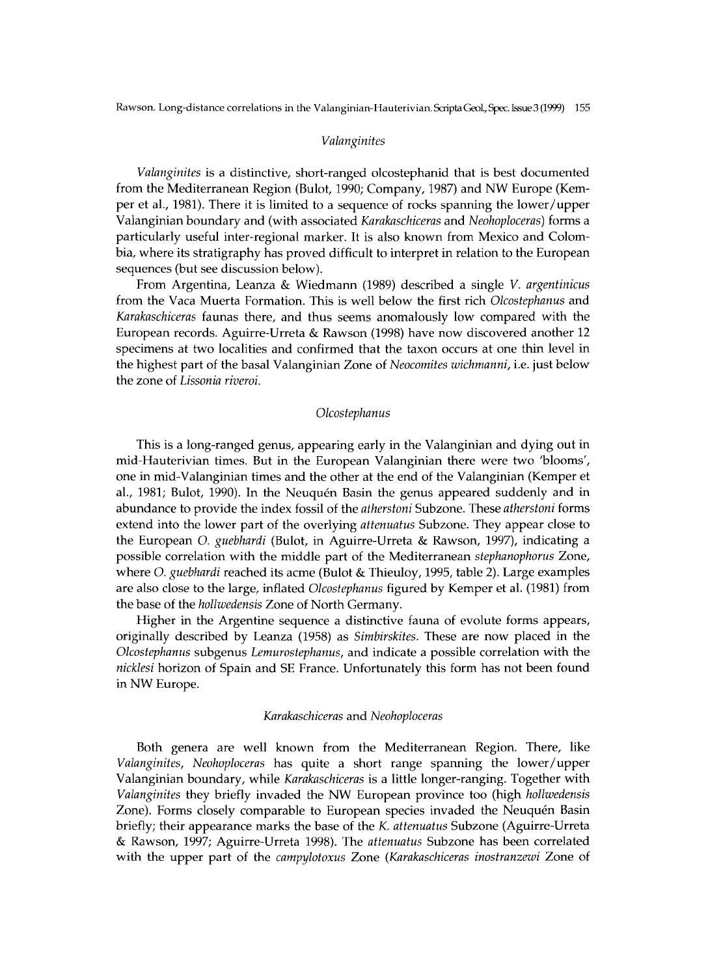## *Valanginites*

*Valanginites* is a distinctive, short-ranged olcostephanid that is best documented from the Mediterranean Region (Bulot, 1990; Company, 1987) and NW Europe (Kemper et al., 1981). There it is limited to a sequence of rocks spanning the lower/upper Valanginian boundary and (with associated *Karakaschiceras* and *Neohoploceras)* forms a particularly useful inter-regional marker. It is also known from Mexico and Colombia, where its stratigraphy has proved difficult to interpret in relation to the European sequences (but see discussion below).

From Argentina, Leanza & Wiedmann (1989) described a single *V. argentinicus*  from the Vaca Muerta Formation. This is well below the first rich *Olcostephanus* and *Karakaschiceras* faunas there, and thus seems anomalously low compared with the European records. Aguirre-Urreta & Rawson (1998) have now discovered another 12 specimens at two localities and confirmed that the taxon occurs at one thin level in the highest part of the basal Valanginian Zone of *Neocomites wichmanni,* i.e. just below the zone of *Lissonia riveroi.* 

### *Olcostephanus*

This is a long-ranged genus, appearing early in the Valanginian and dying out in mid-Hauterivian times. But in the European Valanginian there were two 'blooms', one in mid-Valanginian times and the other at the end of the Valanginian (Kemper et al., 1981; Bulot, 1990). In the Neuquén Basin the genus appeared suddenly and in abundance to provide the index fossil of the *atherstoni* Subzone. These *atherstoni* forms extend into the lower part of the overlying *attenuatus* Subzone. They appear close to the European *O. guebhardi* (Bulot, in Aguirre-Urreta & Rawson, 1997), indicating a possible correlation with the middle part of the Mediterranean *stephanophorus* Zone, where *O. guebhardi* reached its acme (Bulot & Thieuloy, 1995, table 2). Large examples are also close to the large, inflated *Olcostephanus* figured by Kemper et al. (1981) from the base of the *hollwedensis* Zone of North Germany.

Higher in the Argentine sequence a distinctive fauna of evolute forms appears, originally described by Leanza (1958) as *Simbirskites.* These are now placed in the *Olcostephanus* subgenus *Lemurostephanus,* and indicate a possible correlation with the *nicklesi* horizon of Spain and SE France. Unfortunately this form has not been found in NW Europe.

## *Karakaschiceras* and *Neohoploceras*

Both genera are well known from the Mediterranean Region. There, like *Valanginites, Neohoploceras* has quite a short range spanning the lower/upper Valanginian boundary, while *Karakaschiceras* is a little longer-ranging. Together with *Valanginites* they briefly invaded the NW European province too (high hollwedensis Zone). Forms closely comparable to European species invaded the Neuquén Basin briefly; their appearance marks the base of the *K. attenuatus* Subzone (Aguirre-Urreta & Rawson, 1997; Aguirre-Urreta 1998). The *attenuatus* Subzone has been correlated with the upper part of the *campylotoxus* Zone *(Karakaschiceras inostranzewi* Zone of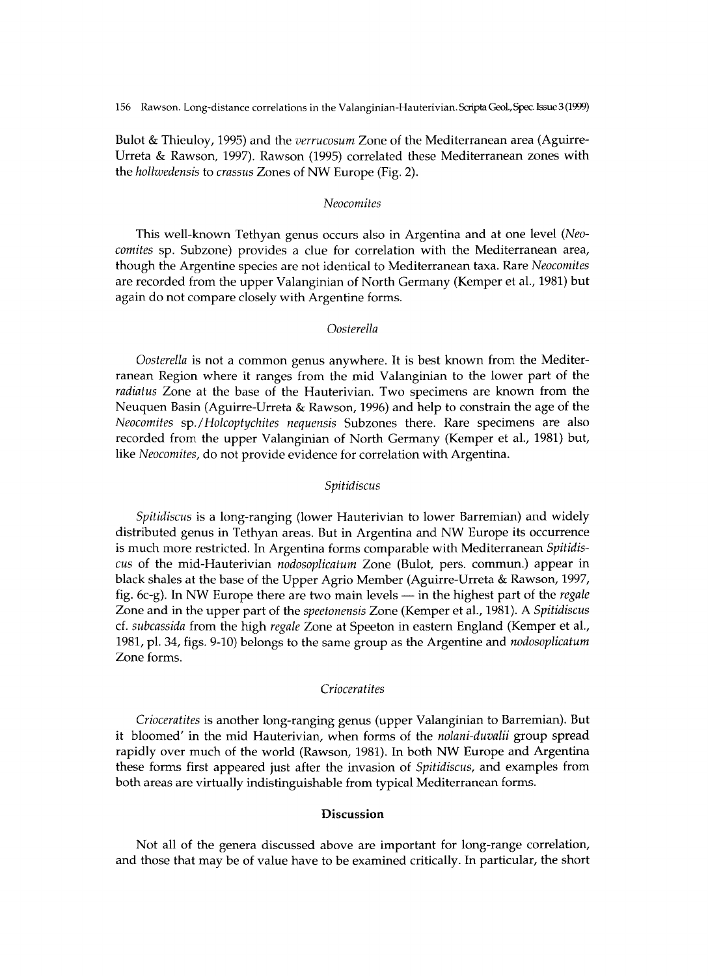Bulot & Thieuloy, 1995) and the *verrucosum* Zone of the Mediterranean area (Aguirre-Urreta & Rawson, 1997). Rawson (1995) correlated these Mediterranean zones with the *hollwedensis* to *crassus* Zones of NW Europe (Fig. 2).

#### *Neocomites*

This well-known Tethyan genus occurs also in Argentina and at one level *(Neocomites* sp. Subzone) provides a clue for correlation with the Mediterranean area, though the Argentine species are not identical to Mediterranean taxa. Rare *Neocomites*  are recorded from the upper Valanginian of North Germany (Kemper et al., 1981) but again do not compare closely with Argentine forms.

# *Oosterella*

*Oosterella* is not a common genus anywhere. It is best known from the Mediterranean Region where it ranges from the mid Valanginian to the lower part of the *radiatus* Zone at the base of the Hauterivian. Two specimens are known from the Neuquen Basin (Aguirre-Urreta & Rawson, 1996) and help to constrain the age of the *Neocomites* sp.*/Holcoptychites nequensis* Subzones there. Rare specimens are also recorded from the upper Valanginian of North Germany (Kemper et al., 1981) but, like *Neocomites,* do not provide evidence for correlation with Argentina.

#### *Spitidiscus*

*Spitidiscus* is a long-ranging (lower Hauterivian to lower Barremian) and widely distributed genus in Tethyan areas. But in Argentina and NW Europe its occurrence is much more restricted. In Argentina forms comparable with Mediterranean *Spitidiscus* of the mid-Hauterivian *nodosoplicatum* Zone (Bulot, pers. commun.) appear in black shales at the base of the Upper Agrio Member (Aguirre-Urreta & Rawson, 1997, fig. 6c-g). In NW Europe there are two main levels — in the highest part of the *regale* Zone and in the upper part of the *speetonensis* Zone (Kemper et al., 1981). A *Spitidiscus*  cf. *subcassida* from the high *regale* Zone at Speeton in eastern England (Kemper et al , 1981, pl. 34, figs. 9-10) belongs to the same group as the Argentine and *nodosoplicatum*  Zone forms.

#### *Crioceratites*

*Crioceratites* is another long-ranging genus (upper Valanginian to Barremian). But it bloomed' in the mid Hauterivian, when forms of the *nolani-duvalii* group spread rapidly over much of the world (Rawson, 1981). In both NW Europe and Argentina these forms first appeared just after the invasion of *Spitidiscus,* and examples from both areas are virtually indistinguishable from typical Mediterranean forms.

# Discussion

Not all of the genera discussed above are important for long-range correlation, and those that may be of value have to be examined critically. In particular, the short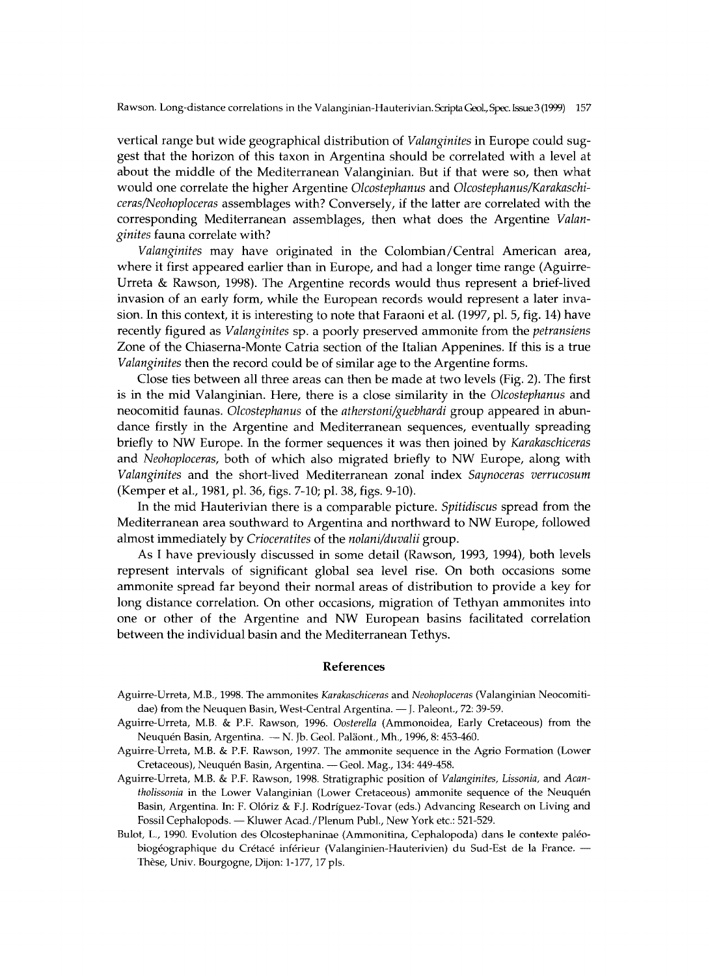vertical range but wide geographical distribution of *Valanginites* in Europe could suggest that the horizon of this taxon in Argentina should be correlated with a level at about the middle of the Mediterranean Valanginian. But if that were so, then what would one correlate the higher Argentine *Olcostephanus* and *Olcostephanus/Karakaschiceras/Neohoploceras* assemblages with? Conversely, if the latter are correlated with the corresponding Mediterranean assemblages, then what does the Argentine *Valanginites* fauna correlate with?

*Valanginites* may have originated in the Colombian/Central American area, where it first appeared earlier than in Europe, and had a longer time range (Aguirre-Urreta & Rawson, 1998). The Argentine records would thus represent a brief-lived invasion of an early form, while the European records would represent a later invasion. In this context, it is interesting to note that Faraoni et al. (1997, pl. 5, fig. 14) have recently figured as *Valanginites* sp. a poorly preserved ammonite from the *petransiens*  Zone of the Chiaserna-Monte Catria section of the Italian Appenines. If this is a true *Valanginites* then the record could be of similar age to the Argentine forms.

Close ties between all three areas can then be made at two levels (Fig. 2). The first is in the mid Valanginian. Here, there is a close similarity in the *Olcostephanus* and neocomitid faunas. *Olcostephanus* of the *atherstoni/guebhardi* group appeared in abundance firstly in the Argentine and Mediterranean sequences, eventually spreading briefly to NW Europe. In the former sequences it was then joined by *Karakaschiceras* and *Neohoploceras*, both of which also migrated briefly to NW Europe, along with *Valanginites* and the short-lived Mediterranean zonal index *Saynoceras verrucosum*  (Kemper et al., 1981, pl. 36, figs. 7-10; pl. 38, figs. 9-10).

In the mid Hauterivian there is a comparable picture. *Spitidiscus* spread from the Mediterranean area southward to Argentina and northward to NW Europe, followed almost immediately by *Crioceratites* of the *nolani/duvalii* group.

As I have previously discussed in some detail (Rawson, 1993, 1994), both levels represent intervals of significant global sea level rise. On both occasions some ammonite spread far beyond their normal areas of distribution to provide a key for long distance correlation. On other occasions, migration of Tethyan ammonites into one or other of the Argentine and NW European basins facilitated correlation between the individual basin and the Mediterranean Tethys.

#### **References**

- Aguirre-Urreta, M.B. , 1998. The ammonites *Karakaschiceras* and *Neohoploceras* (Valanginian Neocomitidae) from the Neuquen Basin, West-Central Argentina. — J. Paleont., 72: 39-59.
- Aguirre-Urreta, M.B. & P.F. Rawson, 1996. *Oosterella* (Ammonoidea, Early Cretaceous) from the Neuquén Basin, Argentina. - N. Jb. Geol. Paläont., Mh., 1996, 8: 453-460.
- Aguirre-Urreta, M.B. & P.F. Rawson, 1997. The ammonite sequence in the Agrio Formation (Lower Cretaceous), Neuquén Basin, Argentina. — Geol. Mag. , 134: 449-458.
- Aguirre-Urreta, M.B. & P.F. Rawson, 1998. Stratigraphie position of *Valanginites, Lissonia,* and *Acantholissonia* in the Lower Valanginian (Lower Cretaceous) ammonite sequence of the Neuquén Basin, Argentina. In: F. Olóriz & F.J. Rodríguez-Tovar (eds.) Advancing Research on Living and Fossil Cephalopods. - Kluwer Acad./Plenum Publ., New York etc.: 521-529.
- Bulot, L., 1990. Evolution des Olcostephaninae (Ammonitina, Cephalopoda) dans le contexte paléobiogéographique du Crétacé inférieur (Valanginien-Hauterivien) du Sud-Est de la France. — Thèse, Univ. Bourgogne, Dijon: 1-177,17 pis.